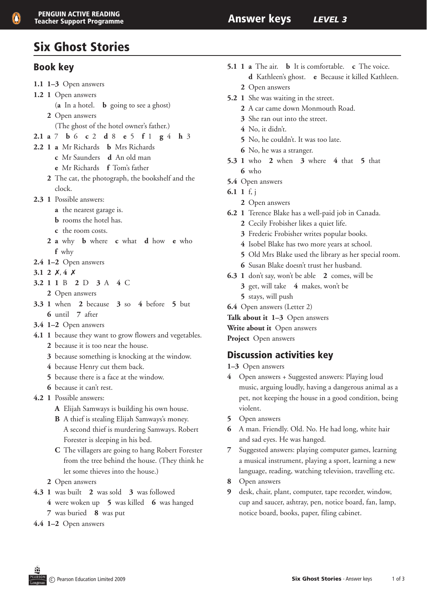# Six Ghost Stories

### Book key

- 1.1 1–3 Open answers
- 1.2 1 Open answers
	- (**a** In a hotel. **b** going to see a ghost)
	- **2** Open answers (The ghost of the hotel owner's father.)
- **2.1 a** 7 **b** 6 **c** 2 **d** 8 **e** 5 **f** 1 **g** 4 **h** 3
- 2.2 1 **a** Mr Richards **b** Mrs Richards
	- **c** Mr Saunders **d** An old man
	- **e** Mr Richards **f** Tom's father
	- **2** The cat, the photograph, the bookshelf and the clock.
- **2.3 1** Possible answers:
	- **a** the nearest garage is.
	- **b** rooms the hotel has.
	- **c** the room costs.
	- **2 a** why **b** where **c** what **d** how **e** who **f** why
- **2.4 1–2** Open answers
- **3.1 2**  $X$ , **4**  $X$
- **3.2 1 1** B **2** D **3** A **4** C
	- 2 Open answers
- **3.3 1** when **2** because **3** so **4** before **5** but **6** until **7** after
- **3.4 1–2** Open answers
- **4.1 1** because they want to grow flowers and vegetables.  **2** because it is too near the house.
	- **3** because something is knocking at the window.
	- **4** because Henry cut them back.
	- **5** because there is a face at the window.
	- **6** because it can't rest.
- **4.2 1** Possible answers:
	- **A** Elijah Samways is building his own house.
	- **B** A thief is stealing Elijah Samways's money. A second thief is murdering Samways. Robert
		- Forester is sleeping in his bed.
	- **C** The villagers are going to hang Robert Forester from the tree behind the house. (They think he let some thieves into the house.)
	- 2 Open answers
- **4.3 1** was built **2** was sold **3** was followed
	- **4** were woken up **5** was killed **6** was hanged **7** was buried **8** was put
- **4.4 1–2** Open answers
- **5.1 1 a** The air. **b** It is comfortable. **c** The voice. **d** Kathleen's ghost. **e** Because it killed Kathleen. 2 Open answers
- **5.2** 1 She was waiting in the street.
	- 2 A car came down Monmouth Road.
	- **3** She ran out into the street.
	- **4** No, it didn't.
	- **5** No, he couldn't. It was too late.
	- **6** No, he was a stranger.
- **5.3 1** who **2** when **3** where **4** that **5** that **6** who
- **5.4** Open answers
- **6.1 1** f, j
	- 2 Open answers
- **6.2 1** Terence Blake has a well-paid job in Canada.
	- **2** Cecily Frobisher likes a quiet life.
	- **3** Frederic Frobisher writes popular books.
	- **4** Isobel Blake has two more years at school.
	- **5** Old Mrs Blake used the library as her special room.
	- **6** Susan Blake doesn't trust her husband.
- **6.3 1** don't say, won't be able **2** comes, will be
	- **3** get, will take **4** makes, won't be
	- **5** stays, will push
- **6.4** Open answers (Letter 2)
- **Talk about it 1–3** Open answers

**Write about it** Open answers

**Project** Open answers

### Discussion activities key

- **1–3** Open answers
- **4** Open answers + Suggested answers: Playing loud music, arguing loudly, having a dangerous animal as a pet, not keeping the house in a good condition, being violent.
- **5** Open answers
- **6** A man. Friendly. Old. No. He had long, white hair and sad eyes. He was hanged.
- **7** Suggested answers: playing computer games, learning a musical instrument, playing a sport, learning a new language, reading, watching television, travelling etc.
- **8** Open answers
- **9** desk, chair, plant, computer, tape recorder, window, cup and saucer, ashtray, pen, notice board, fan, lamp, notice board, books, paper, filing cabinet.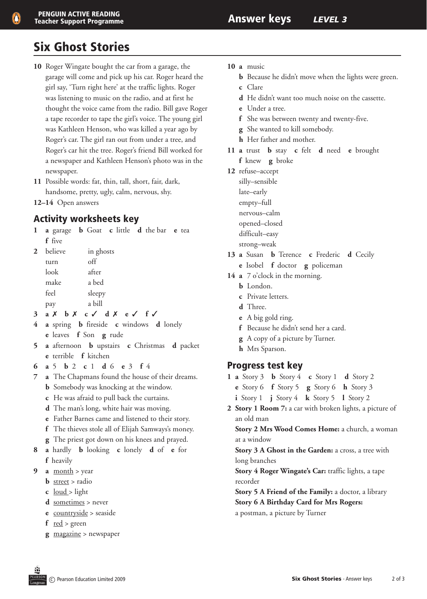# Six Ghost Stories

- **10** Roger Wingate bought the car from a garage, the garage will come and pick up his car. Roger heard the girl say, 'Turn right here' at the traffic lights. Roger was listening to music on the radio, and at first he thought the voice came from the radio. Bill gave Roger a tape recorder to tape the girl's voice. The young girl was Kathleen Henson, who was killed a year ago by Roger's car. The girl ran out from under a tree, and Roger's car hit the tree. Roger's friend Bill worked for a newspaper and Kathleen Henson's photo was in the newspaper.
- **11**  Possible words: fat, thin, tall, short, fair, dark, handsome, pretty, ugly, calm, nervous, shy.
- **12–14** Open answers

### Activity worksheets key

**1 a** garage **b** Goat **c** little **d** the bar **e** tea  **f** five

| $2^{\circ}$ | believe | in ghosts |
|-------------|---------|-----------|
|             | turn    | off       |
|             | look    | after     |
|             | make    | a bed     |
|             | feel    | sleepy    |
|             | pay     | a bill    |

- **3 a** 7 **b** 7 **c** 3 **d** 7 **e** 3 **f** 3
- **4 a** spring **b** fireside **c** windows **d** lonely  **e** leaves **f** Son **g** rude
- **5 a** afternoon **b** upstairs **c** Christmas **d** packet **e** terrible **f** kitchen
- **6 a** 5 **b** 2 **c** 1 **d** 6 **e** 3 **f** 4
- **7 a**  The Chapmans found the house of their dreams.
	- **b** Somebody was knocking at the window.
	- **c** He was afraid to pull back the curtains.
	- **d** The man's long, white hair was moving.
	- **e** Father Barnes came and listened to their story.
	- **f** The thieves stole all of Elijah Samways's money.
	- **g** The priest got down on his knees and prayed.
- **8 a** hardly **b** looking **c** lonely **d** of **e** for  **f** heavily
- **9** a <u>month</u> > year
	- **b** street > radio
	- **c**  loud > light
	- **d** <u>sometimes</u> > never
	- **e** <u>countryside</u> > seaside
	- $f$  <u>red</u> > green
	- **g** magazine > newspaper
- **10 a** music
	- **b** Because he didn't move when the lights were green.
	- **c** Clare
	- **d** He didn't want too much noise on the cassette.
	- **e** Under a tree.
	- **f** She was between twenty and twenty-five.
	- **g** She wanted to kill somebody.
	- **h** Her father and mother.
- **11 a** trust **b** stay **c** felt **d** need **e** brought  **f** knew **g** broke
- **12** refuse–accept
	- silly–sensible
	- late–early
	- empty–full
	- nervous–calm
	- opened–closed
	- difficult–easy
	- strong–weak
- **13 a** Susan **b** Terence **c** Frederic **d** Cecily
	- **e** Isobel **f** doctor **g** policeman
- **14 a** 7 o'clock in the morning.
	- **b** London
	- **c** Private letters.
	- **d** Three.
	- **e**  A big gold ring.
	- **f** Because he didn't send her a card.
	- **g** A copy of a picture by Turner.
	- **h** Mrs Sparson.

#### Progress test key

- **1 a** Story 3 **b** Story 4 **c** Story 1 **d** Story 2
	- **e** Story 6 **f** Story 5 **g** Story 6 **h** Story 3
	- **i** Story 1 **j** Story 4 **k** Story 5 **l** Story 2
- **2 Story 1 Room 7:** a car with broken lights, a picture of an old man

 **Story 2 Mrs Wood Comes Home:** a church, a woman at a window

 **Story 3 A Ghost in the Garden:** a cross, a tree with long branches

 **Story 4 Roger Wingate's Car:** traffic lights, a tape recorder

 **Story 5 A Friend of the Family:** a doctor, a library  **Story 6 A Birthday Card for Mrs Rogers:** a postman, a picture by Turner